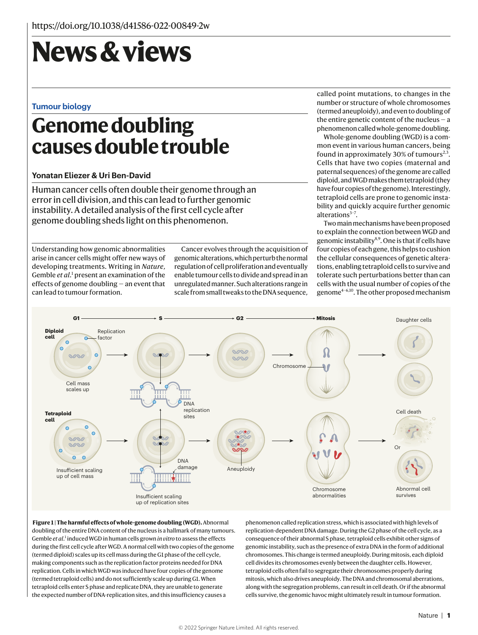# **News & views**

#### **Tumour biology**

## **Genome doubling causes double trouble**

#### **Yonatan Eliezer & Uri Ben-David**

Human cancer cells often double their genome through an error in cell division, and this can lead to further genomic instability. A detailed analysis of the first cell cycle after genome doubling sheds light on this phenomenon.

Understanding how genomic abnormalities arise in cancer cells might offer new ways of developing treatments. Writing in *Nature*, Gemble et al.<sup>1</sup> present an examination of the effects of genome doubling — an event that can lead to tumour formation.

Cancer evolves through the acquisition of genomic alterations, which perturb the normal regulation of cell proliferation and eventually enable tumour cells to divide and spread in an unregulated manner. Such alterations range in scale from small tweaks to the DNA sequence, called point mutations, to changes in the number or structure of whole chromosomes (termed aneuploidy), and even to doubling of the entire genetic content of the nucleus  $-$  a phenomenon called whole-genome doubling.

Whole-genome doubling (WGD) is a common event in various human cancers, being found in approximately 30% of tumours<sup>2,3</sup>. Cells that have two copies (maternal and paternal sequences) of the genome are called diploid, and WGD makes them tetraploid (they have four copies of the genome). Interestingly, tetraploid cells are prone to genomic instability and quickly acquire further genomic alterations<sup>3-7</sup>.

Two main mechanisms have been proposed to explain the connection between WGD and genomic instability<sup>8,9</sup>. One is that if cells have four copies of each gene, this helps to cushion the cellular consequences of genetic alterations, enabling tetraploid cells to survive and tolerate such perturbations better than can cells with the usual number of copies of the genome4–6,10. The other proposed mechanism



 **Figure 1 | The harmful effects of whole-genome doubling (WGD).** Abnormal doubling of the entire DNA content of the nucleus is a hallmark of many tumours. Gemble et al.<sup>1</sup> induced WGD in human cells grown in vitro to assess the effects during the first cell cycle after WGD. A normal cell with two copies of the genome (termed diploid) scales up its cell mass during the G1 phase of the cell cycle, making components such as the replication factor proteins needed for DNA replication. Cells in which WGD was induced have four copies of the genome (termed tetraploid cells) and do not sufficiently scale up during G1. When tetraploid cells enter S phase and replicate DNA, they are unable to generate the expected number of DNA-replication sites, and this insufficiency causes a

phenomenon called replication stress, which is associated with high levels of replication-dependent DNA damage. During the G2 phase of the cell cycle, as a consequence of their abnormal S phase, tetraploid cells exhibit other signs of genomic instability, such as the presence of extra DNA in the form of additional chromosomes. This change is termed aneuploidy. During mitosis, each diploid cell divides its chromosomes evenly between the daughter cells. However, tetraploid cells often fail to segregate their chromosomes properly during mitosis, which also drives aneuploidy. The DNA and chromosomal aberrations, along with the segregation problems, can result in cell death. Or if the abnormal cells survive, the genomic havoc might ultimately result in tumour formation.